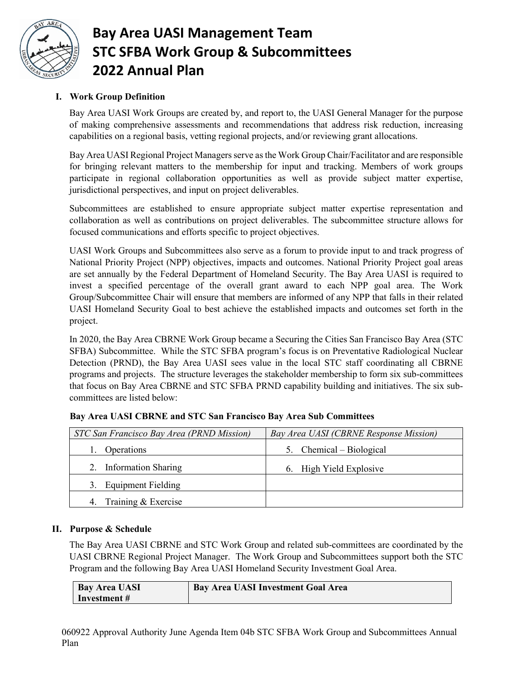

# **Bay Area UASI Management Team STC SFBA Work Group & Subcommittees 2022 Annual Plan**

## **I. Work Group Definition**

Bay Area UASI Work Groups are created by, and report to, the UASI General Manager for the purpose of making comprehensive assessments and recommendations that address risk reduction, increasing capabilities on a regional basis, vetting regional projects, and/or reviewing grant allocations.

Bay Area UASI Regional Project Managers serve as the Work Group Chair/Facilitator and are responsible for bringing relevant matters to the membership for input and tracking. Members of work groups participate in regional collaboration opportunities as well as provide subject matter expertise, jurisdictional perspectives, and input on project deliverables.

Subcommittees are established to ensure appropriate subject matter expertise representation and collaboration as well as contributions on project deliverables. The subcommittee structure allows for focused communications and efforts specific to project objectives.

UASI Work Groups and Subcommittees also serve as a forum to provide input to and track progress of National Priority Project (NPP) objectives, impacts and outcomes. National Priority Project goal areas are set annually by the Federal Department of Homeland Security. The Bay Area UASI is required to invest a specified percentage of the overall grant award to each NPP goal area. The Work Group/Subcommittee Chair will ensure that members are informed of any NPP that falls in their related UASI Homeland Security Goal to best achieve the established impacts and outcomes set forth in the project.

In 2020, the Bay Area CBRNE Work Group became a Securing the Cities San Francisco Bay Area (STC SFBA) Subcommittee. While the STC SFBA program's focus is on Preventative Radiological Nuclear Detection (PRND), the Bay Area UASI sees value in the local STC staff coordinating all CBRNE programs and projects. The structure leverages the stakeholder membership to form six sub-committees that focus on Bay Area CBRNE and STC SFBA PRND capability building and initiatives. The six subcommittees are listed below:

| STC San Francisco Bay Area (PRND Mission) | Bay Area UASI (CBRNE Response Mission) |
|-------------------------------------------|----------------------------------------|
| Operations                                | 5. Chemical – Biological               |
| 2. Information Sharing                    | 6. High Yield Explosive                |
| <b>Equipment Fielding</b><br>3.           |                                        |
| Training & Exercise                       |                                        |

## **Bay Area UASI CBRNE and STC San Francisco Bay Area Sub Committees**

### **II. Purpose & Schedule**

The Bay Area UASI CBRNE and STC Work Group and related sub-committees are coordinated by the UASI CBRNE Regional Project Manager. The Work Group and Subcommittees support both the STC Program and the following Bay Area UASI Homeland Security Investment Goal Area.

| <b>Bay Area UASI</b> | <b>Bay Area UASI Investment Goal Area</b> |
|----------------------|-------------------------------------------|
| Investment #         |                                           |

060922 Approval Authority June Agenda Item 04b STC SFBA Work Group and Subcommittees Annual Plan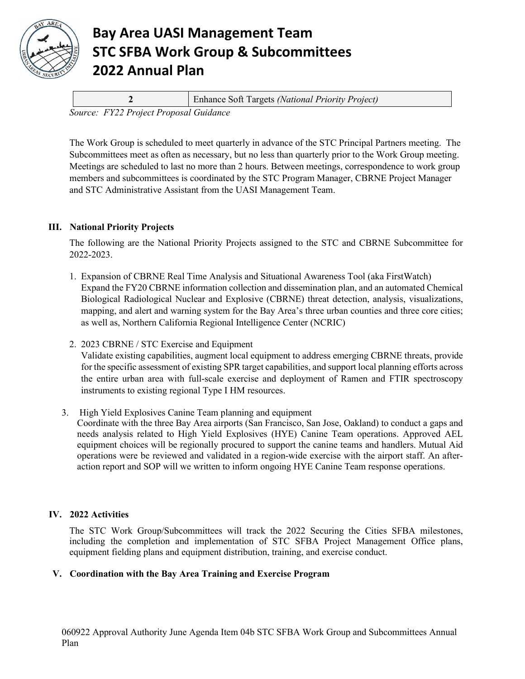

## **Bay Area UASI Management Team STC SFBA Work Group & Subcommittees 2022 Annual Plan**

|                                        |  | Enhance Soft Targets (National Priority Project) |
|----------------------------------------|--|--------------------------------------------------|
| Source: FY22 Project Proposal Guidance |  |                                                  |

The Work Group is scheduled to meet quarterly in advance of the STC Principal Partners meeting. The Subcommittees meet as often as necessary, but no less than quarterly prior to the Work Group meeting. Meetings are scheduled to last no more than 2 hours. Between meetings, correspondence to work group members and subcommittees is coordinated by the STC Program Manager, CBRNE Project Manager and STC Administrative Assistant from the UASI Management Team.

### **III. National Priority Projects**

The following are the National Priority Projects assigned to the STC and CBRNE Subcommittee for 2022-2023.

- 1. Expansion of CBRNE Real Time Analysis and Situational Awareness Tool (aka FirstWatch) Expand the FY20 CBRNE information collection and dissemination plan, and an automated Chemical Biological Radiological Nuclear and Explosive (CBRNE) threat detection, analysis, visualizations, mapping, and alert and warning system for the Bay Area's three urban counties and three core cities; as well as, Northern California Regional Intelligence Center (NCRIC)
- 2. 2023 CBRNE / STC Exercise and Equipment Validate existing capabilities, augment local equipment to address emerging CBRNE threats, provide for the specific assessment of existing SPR target capabilities, and support local planning efforts across the entire urban area with full-scale exercise and deployment of Ramen and FTIR spectroscopy instruments to existing regional Type I HM resources.
- 3. High Yield Explosives Canine Team planning and equipment Coordinate with the three Bay Area airports (San Francisco, San Jose, Oakland) to conduct a gaps and needs analysis related to High Yield Explosives (HYE) Canine Team operations. Approved AEL equipment choices will be regionally procured to support the canine teams and handlers. Mutual Aid operations were be reviewed and validated in a region-wide exercise with the airport staff. An afteraction report and SOP will we written to inform ongoing HYE Canine Team response operations.

## **IV. 2022 Activities**

The STC Work Group/Subcommittees will track the 2022 Securing the Cities SFBA milestones, including the completion and implementation of STC SFBA Project Management Office plans, equipment fielding plans and equipment distribution, training, and exercise conduct.

### **V. Coordination with the Bay Area Training and Exercise Program**